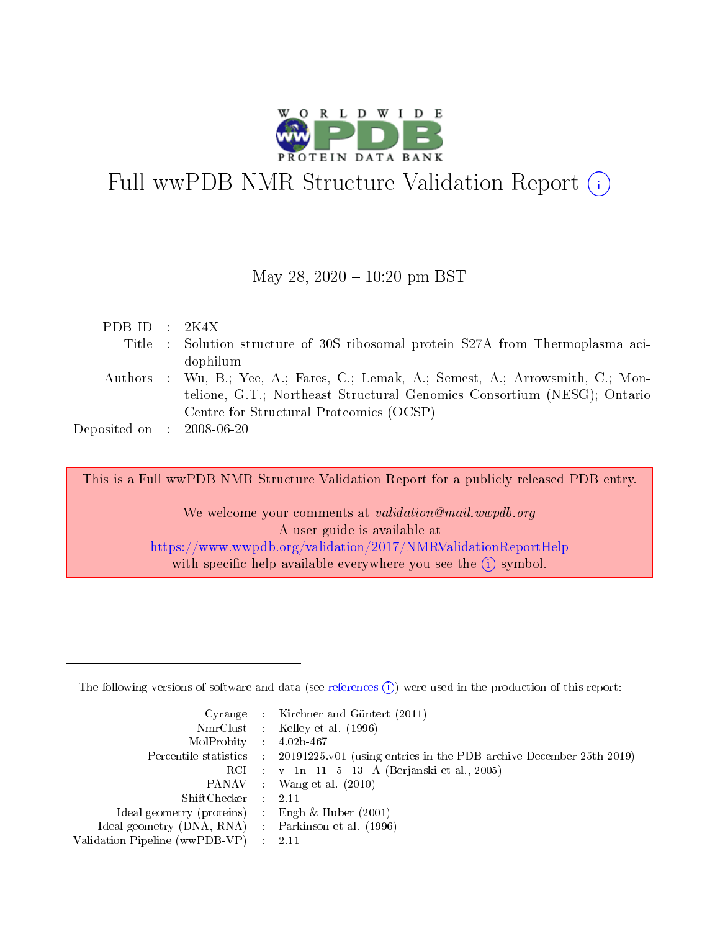

# Full wwPDB NMR Structure Validation Report (i)

## May 28,  $2020 - 10:20$  pm BST

| PDB ID : $2K4X$                     |                                                                                   |
|-------------------------------------|-----------------------------------------------------------------------------------|
|                                     | Title : Solution structure of 30S ribosomal protein S27A from Thermoplasma aci-   |
|                                     | dophilum                                                                          |
|                                     | Authors : Wu, B.; Yee, A.; Fares, C.; Lemak, A.; Semest, A.; Arrowsmith, C.; Mon- |
|                                     | telione, G.T.; Northeast Structural Genomics Consortium (NESG); Ontario           |
|                                     | Centre for Structural Proteomics (OCSP)                                           |
| Deposited on $\,$ : 2008-06-20 $\,$ |                                                                                   |

This is a Full wwPDB NMR Structure Validation Report for a publicly released PDB entry.

We welcome your comments at validation@mail.wwpdb.org A user guide is available at <https://www.wwpdb.org/validation/2017/NMRValidationReportHelp> with specific help available everywhere you see the  $(i)$  symbol.

The following versions of software and data (see [references](https://www.wwpdb.org/validation/2017/NMRValidationReportHelp#references)  $(1)$ ) were used in the production of this report:

|                                                    | Cyrange : Kirchner and Güntert $(2011)$                                                    |
|----------------------------------------------------|--------------------------------------------------------------------------------------------|
|                                                    | NmrClust : Kelley et al. (1996)                                                            |
| $MolProbability$ 4.02b-467                         |                                                                                            |
|                                                    | Percentile statistics : 20191225.v01 (using entries in the PDB archive December 25th 2019) |
|                                                    | RCI : v 1n 11 5 13 A (Berjanski et al., 2005)                                              |
|                                                    | PANAV Wang et al. (2010)                                                                   |
| $ShiftChecker$ : 2.11                              |                                                                                            |
| Ideal geometry (proteins) : Engh $\&$ Huber (2001) |                                                                                            |
| Ideal geometry (DNA, RNA) Parkinson et al. (1996)  |                                                                                            |
| Validation Pipeline (wwPDB-VP)                     | 2.11                                                                                       |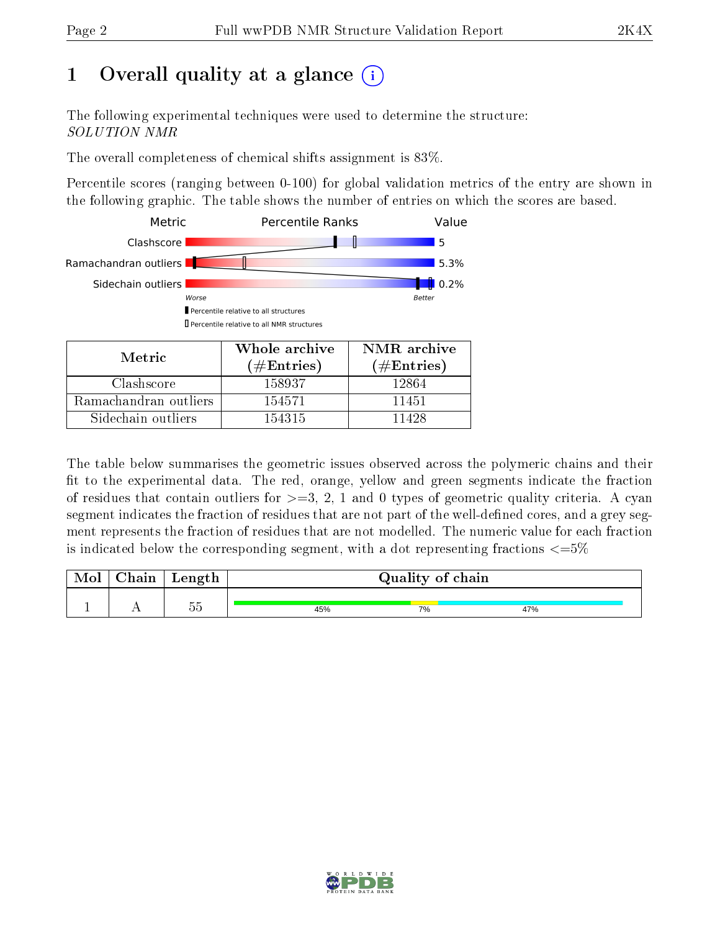# 1 [O](https://www.wwpdb.org/validation/2017/NMRValidationReportHelp#overall_quality)verall quality at a glance (i)

The following experimental techniques were used to determine the structure: SOLUTION NMR

The overall completeness of chemical shifts assignment is 83%.

Percentile scores (ranging between 0-100) for global validation metrics of the entry are shown in the following graphic. The table shows the number of entries on which the scores are based.



Sidechain outliers  $\vert$  154315 11428

The table below summarises the geometric issues observed across the polymeric chains and their fit to the experimental data. The red, orange, yellow and green segments indicate the fraction of residues that contain outliers for  $>=3, 2, 1$  and 0 types of geometric quality criteria. A cyan segment indicates the fraction of residues that are not part of the well-defined cores, and a grey segment represents the fraction of residues that are not modelled. The numeric value for each fraction is indicated below the corresponding segment, with a dot representing fractions  $\epsilon = 5\%$ 

| Mol | Chain | Length                     | Quality of chain |    |     |
|-----|-------|----------------------------|------------------|----|-----|
|     |       | $\sim$ $\sim$<br>n r<br>ಀಀ | 45%              | 7% | 47% |

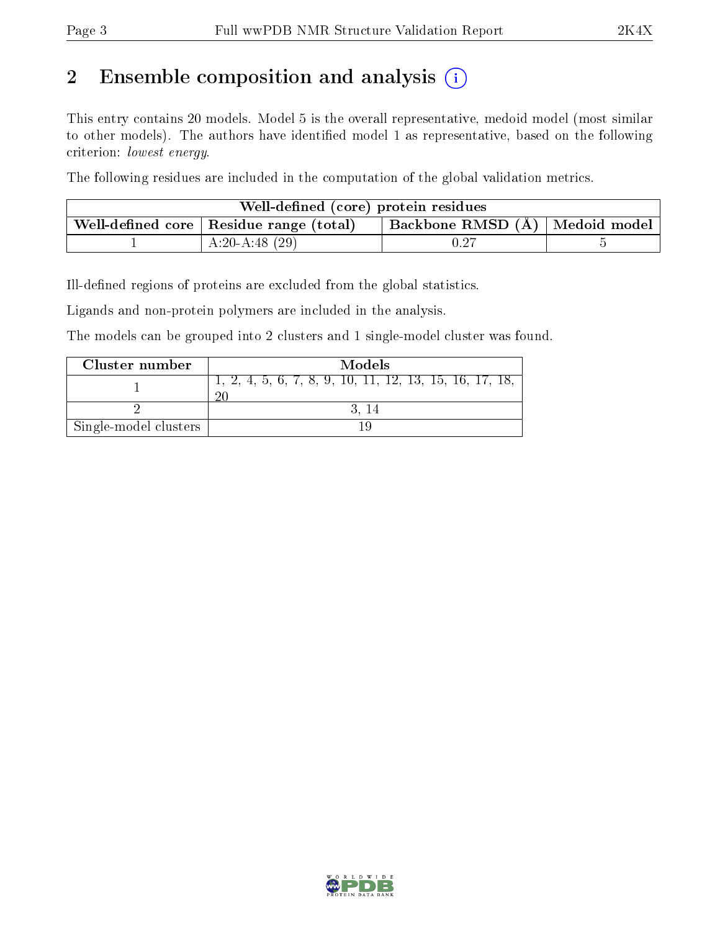# 2 Ensemble composition and analysis  $(i)$

This entry contains 20 models. Model 5 is the overall representative, medoid model (most similar to other models). The authors have identified model 1 as representative, based on the following criterion: lowest energy.

The following residues are included in the computation of the global validation metrics.

| Well-defined (core) protein residues |                                                                                                               |  |  |  |  |  |
|--------------------------------------|---------------------------------------------------------------------------------------------------------------|--|--|--|--|--|
|                                      | Backbone RMSD $(A)$   Medoid model  <br>$\overline{a}$ Well-defined core $\overline{a}$ Residue range (total) |  |  |  |  |  |
|                                      | $A:20-A:48(29)$                                                                                               |  |  |  |  |  |

Ill-defined regions of proteins are excluded from the global statistics.

Ligands and non-protein polymers are included in the analysis.

The models can be grouped into 2 clusters and 1 single-model cluster was found.

| Cluster number        | Models                                                    |
|-----------------------|-----------------------------------------------------------|
|                       | $1, 2, 4, 5, 6, 7, 8, 9, 10, 11, 12, 13, 15, 16, 17, 18,$ |
|                       |                                                           |
| Single-model clusters |                                                           |

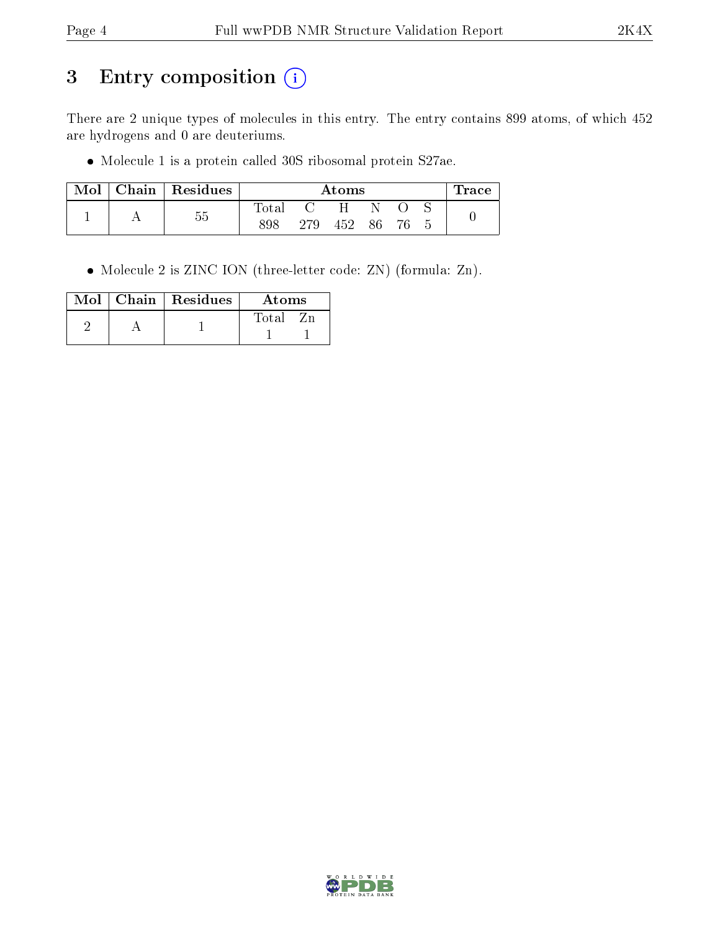# 3 Entry composition (i)

There are 2 unique types of molecules in this entry. The entry contains 899 atoms, of which 452 are hydrogens and 0 are deuteriums.

Molecule 1 is a protein called 30S ribosomal protein S27ae.

| Mol | Chain | Residues   | Atoms  |     |     |    | Trace |  |  |
|-----|-------|------------|--------|-----|-----|----|-------|--|--|
|     |       | $ -$<br>hh | l'otal |     | H   |    |       |  |  |
|     |       | ⊍ປ         | 898    | 279 | 452 | 86 | 76    |  |  |

Molecule 2 is ZINC ION (three-letter code: ZN) (formula: Zn).

|  | $Mol$   Chain   Residues | Atoms |
|--|--------------------------|-------|
|  |                          | Total |
|  |                          |       |

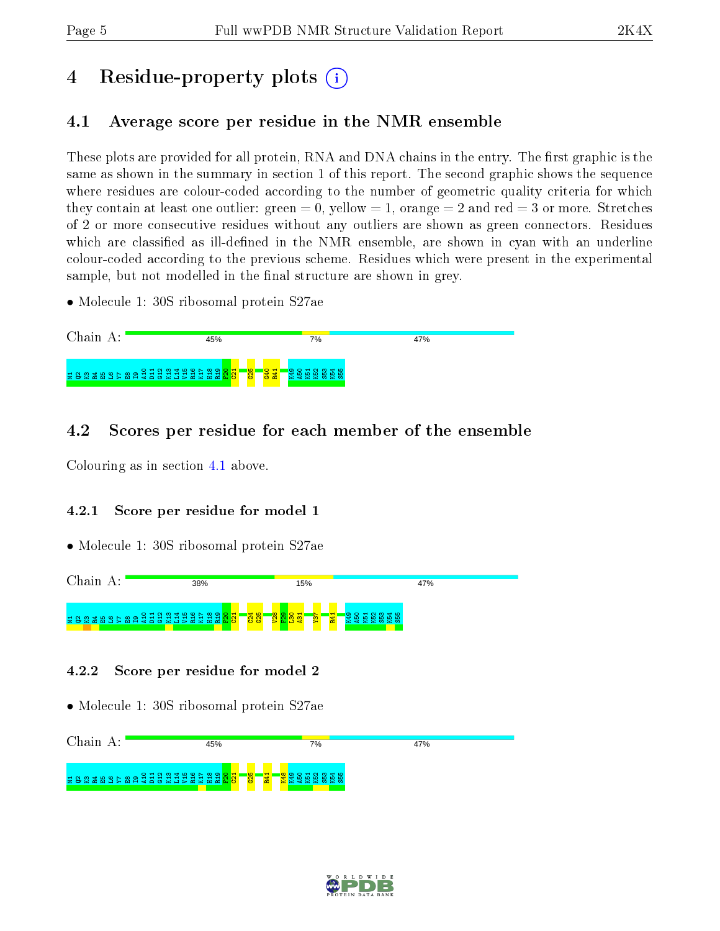# 4 Residue-property plots  $\binom{1}{1}$

# <span id="page-4-0"></span>4.1 Average score per residue in the NMR ensemble

These plots are provided for all protein, RNA and DNA chains in the entry. The first graphic is the same as shown in the summary in section 1 of this report. The second graphic shows the sequence where residues are colour-coded according to the number of geometric quality criteria for which they contain at least one outlier: green  $= 0$ , yellow  $= 1$ , orange  $= 2$  and red  $= 3$  or more. Stretches of 2 or more consecutive residues without any outliers are shown as green connectors. Residues which are classified as ill-defined in the NMR ensemble, are shown in cyan with an underline colour-coded according to the previous scheme. Residues which were present in the experimental sample, but not modelled in the final structure are shown in grey.

• Molecule 1: 30S ribosomal protein S27ae



# 4.2 Scores per residue for each member of the ensemble

Colouring as in section [4.1](#page-4-0) above.

## 4.2.1 Score per residue for model 1

• Molecule 1: 30S ribosomal protein S27ae



## 4.2.2 Score per residue for model 2



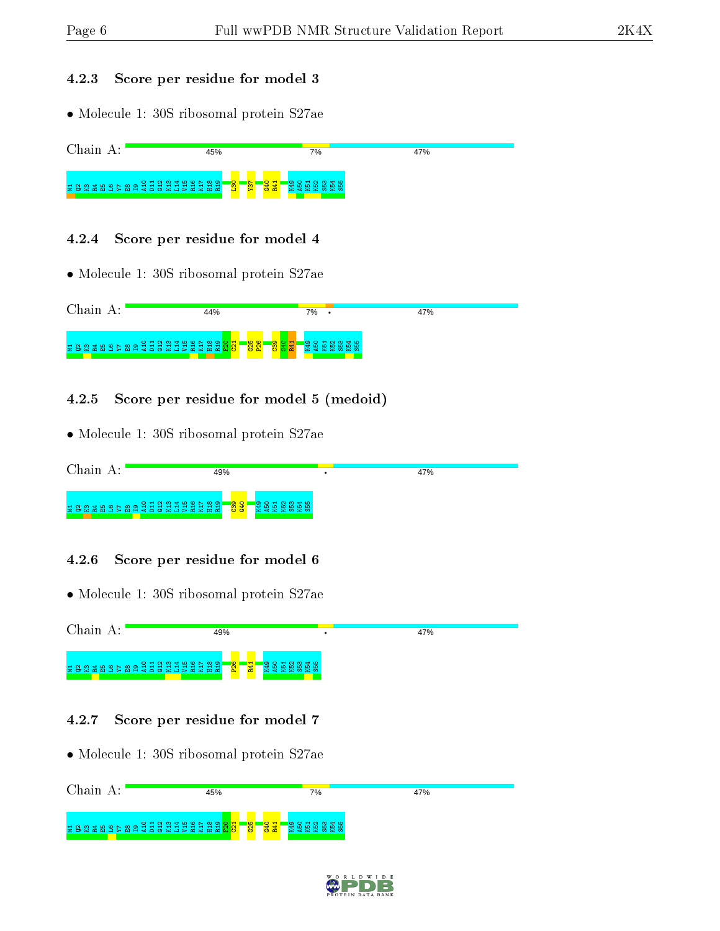#### 4.2.3 Score per residue for model 3

• Molecule 1: 30S ribosomal protein S27ae



#### 4.2.4 Score per residue for model 4

• Molecule 1: 30S ribosomal protein S27ae



## 4.2.5 Score per residue for model 5 (medoid)

• Molecule 1: 30S ribosomal protein S27ae

| Chain                  | 49%                                                                                | 47% |
|------------------------|------------------------------------------------------------------------------------|-----|
| 2882889588228333332828 | <mark>"용용"</mark><br><mark>영양</mark><br>הו וה<br>ക<br>-10<br>$4 \times 0 \times 0$ |     |

#### 4.2.6 Score per residue for model 6

| Chain A:                                          | 49%                                                        |    | 47% |
|---------------------------------------------------|------------------------------------------------------------|----|-----|
|                                                   | $\frac{1}{2}$<br><b>1990 RD</b><br>1990 RD 8<br><b>R41</b> |    |     |
| 4.2.7                                             | Score per residue for model 7                              |    |     |
| • Molecule 1: 30S ribosomal protein S27ae         |                                                            |    |     |
| Chain A:                                          | 45%                                                        | 7% | 47% |
| E 88 E 88 E 5 8 8 2 2 3 3 2 3 2 2 2 2 2 2 2 2 3 4 | <mark>ig</mark><br><mark>용료</mark><br>gB<br>္တ             | 15 |     |

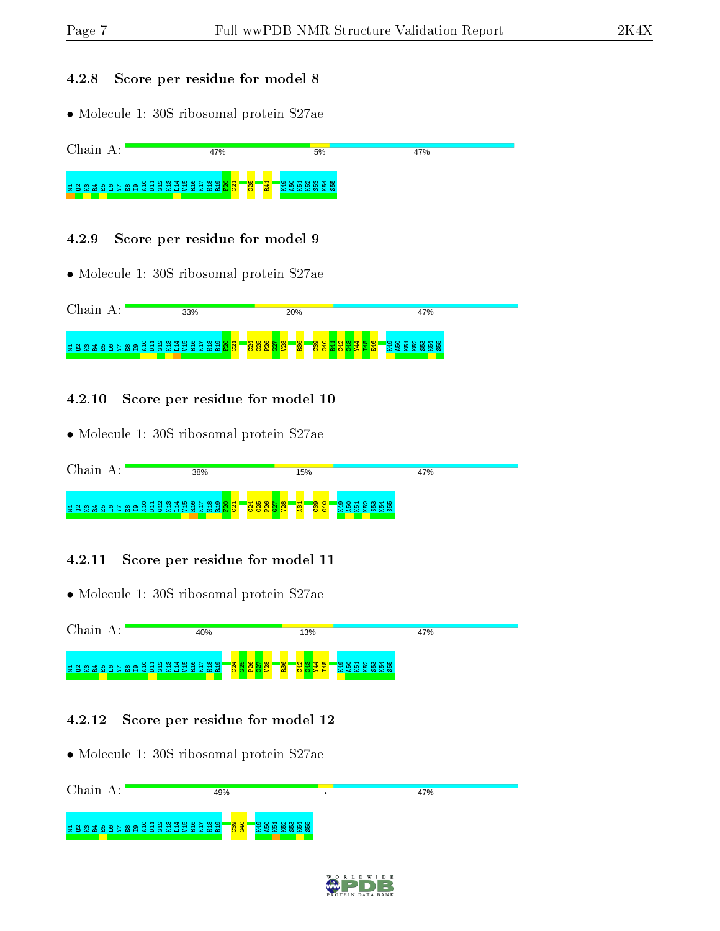#### 4.2.8 Score per residue for model 8

• Molecule 1: 30S ribosomal protein S27ae



#### 4.2.9 Score per residue for model 9

• Molecule 1: 30S ribosomal protein S27ae



#### 4.2.10 Score per residue for model 10

• Molecule 1: 30S ribosomal protein S27ae

| Chain                                                                | 38% | 15%                                                                                         | 47%   |
|----------------------------------------------------------------------|-----|---------------------------------------------------------------------------------------------|-------|
| E 8 & # B \$ } & \$ £ £ £ £ # £ # £ £ # # <mark>&amp; &amp; !</mark> |     | <mark>⊺ ۳ ن ۵ ن ⊢ ۵</mark><br>$\frac{8}{3}$<br>$\frac{1}{2}$<br>6 es<br>$\circ$<br>$\alpha$ | se no |

#### 4.2.11 Score per residue for model 11

• Molecule 1: 30S ribosomal protein S27ae



#### 4.2.12 Score per residue for model 12

| Chain A: | 49%                                            |     | 47% |
|----------|------------------------------------------------|-----|-----|
|          | E80 E89 E89 E8 0 2 3 3 3 3 3 3 3 3 3 3 8 9 8 1 | 965 |     |

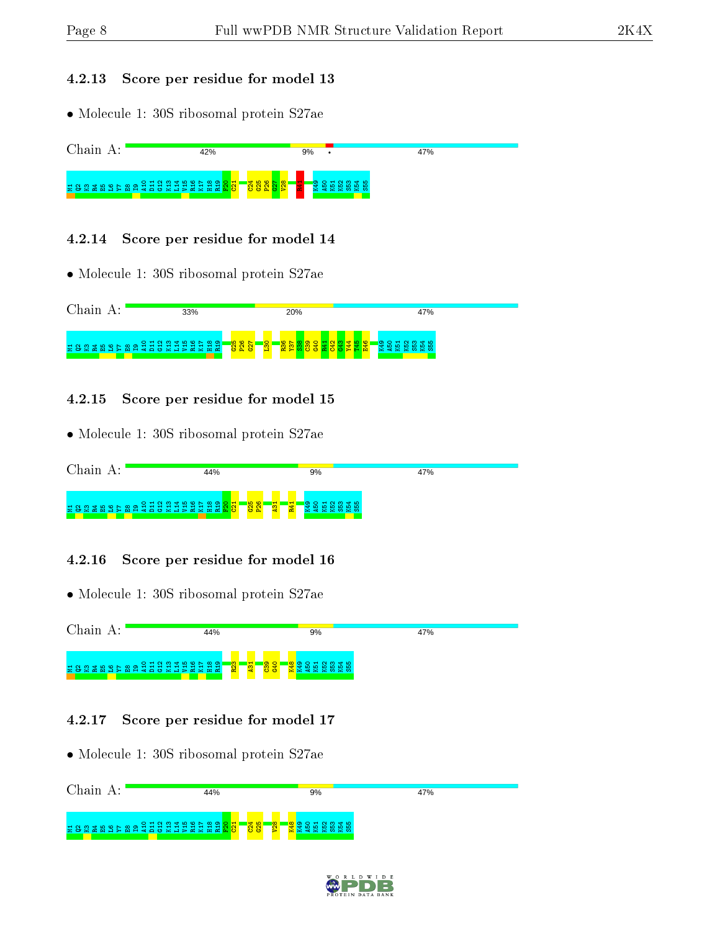#### 4.2.13 Score per residue for model 13

• Molecule 1: 30S ribosomal protein S27ae



### 4.2.14 Score per residue for model 14

• Molecule 1: 30S ribosomal protein S27ae



### 4.2.15 Score per residue for model 15

• Molecule 1: 30S ribosomal protein S27ae

| Chain | 44%                                                                                                          | 9%             | 47% |
|-------|--------------------------------------------------------------------------------------------------------------|----------------|-----|
|       | E 8 & \$ B & b & a d d d d d d d d d d <mark>8 &amp; c l</mark><br><mark>း</mark> အိ<br><b>H</b><br><b>m</b> | <b>Section</b> |     |

## 4.2.16 Score per residue for model 16

• Molecule 1: 30S ribosomal protein S27ae



## 4.2.17 Score per residue for model 17

| Chain | 44%                                                                                   | 9%                                         | 47% |
|-------|---------------------------------------------------------------------------------------|--------------------------------------------|-----|
|       | E 8 & # B \$ } & \$ £ £ £ # # # # # # # # # # <mark>&amp; # F</mark><br>$\frac{1}{2}$ | $\frac{1}{2}$<br>חו<br>$\sim$ $\times$ to. |     |

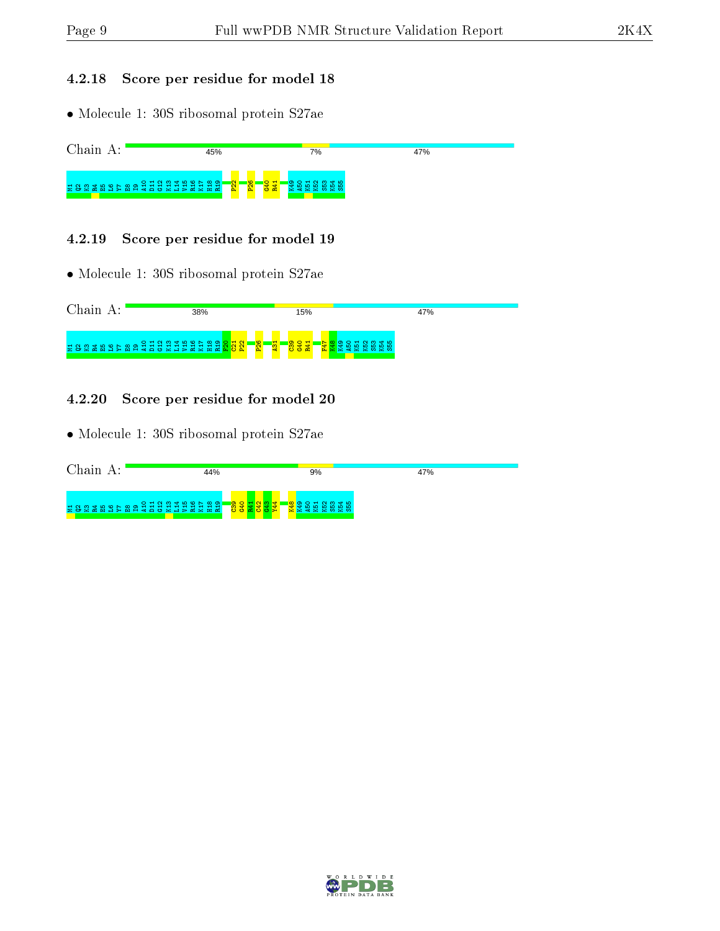### 4.2.18 Score per residue for model 18

• Molecule 1: 30S ribosomal protein S27ae



#### 4.2.19 Score per residue for model 19

• Molecule 1: 30S ribosomal protein S27ae

| Chain<br>А. | 38%                                                                                                     | 15%                                                                                                                     | 47%                   |  |
|-------------|---------------------------------------------------------------------------------------------------------|-------------------------------------------------------------------------------------------------------------------------|-----------------------|--|
|             | <b>គ ទន គ ម ៦ គ ម ១ ភ្នំ អ្ន</b> អ្ន អ្ន អ្ន អ្ន អ្ន អ្ន <mark>អ្ន អ្ន អ្ន</mark><br>$\sim$<br><b>R</b> | <b>O</b><br>1. H<br>ு<br>$\circ$<br>$\mathbf{H}$ $\mathbf{N}$<br>$\blacksquare$<br>►<br><b>g</b><br>8.<br><u> 종 굴 굴</u> | $m + m$<br><b>R 8</b> |  |

#### 4.2.20 Score per residue for model 20

| Chain A:                     | 44%                         | 9%                      | 47% |
|------------------------------|-----------------------------|-------------------------|-----|
| 1882 2895 289 28 38 39 39 39 | န္တ<br>- <mark>O O ⊯</mark> | ⊲+ ഥ<br>3 3 5 5 6 6 7 8 |     |

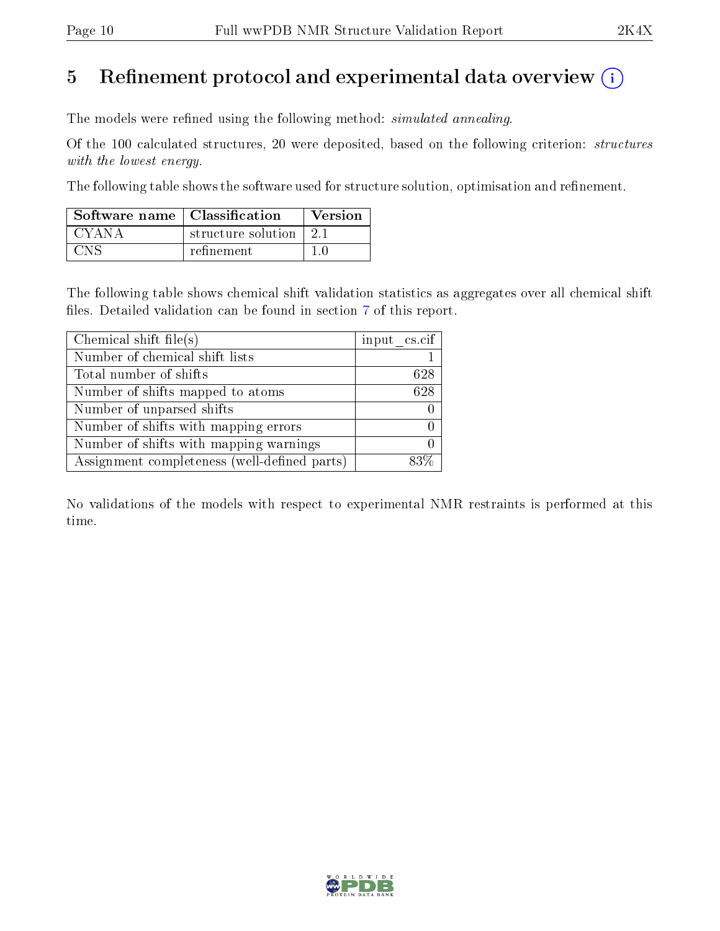# 5 Refinement protocol and experimental data overview  $\binom{1}{k}$

The models were refined using the following method: *simulated annealing*.

Of the 100 calculated structures, 20 were deposited, based on the following criterion: structures with the lowest energy.

The following table shows the software used for structure solution, optimisation and refinement.

| Software name   Classification |                    | Version |
|--------------------------------|--------------------|---------|
| CYANA                          | structure solution | 21      |
| CNe                            | refinement         |         |

The following table shows chemical shift validation statistics as aggregates over all chemical shift files. Detailed validation can be found in section [7](#page-13-0) of this report.

| Chemical shift file(s)                       | input cs.cif |
|----------------------------------------------|--------------|
| Number of chemical shift lists               |              |
| Total number of shifts                       | 628          |
| Number of shifts mapped to atoms             | 628          |
| Number of unparsed shifts                    |              |
| Number of shifts with mapping errors         |              |
| Number of shifts with mapping warnings       |              |
| Assignment completeness (well-defined parts) |              |

No validations of the models with respect to experimental NMR restraints is performed at this time.

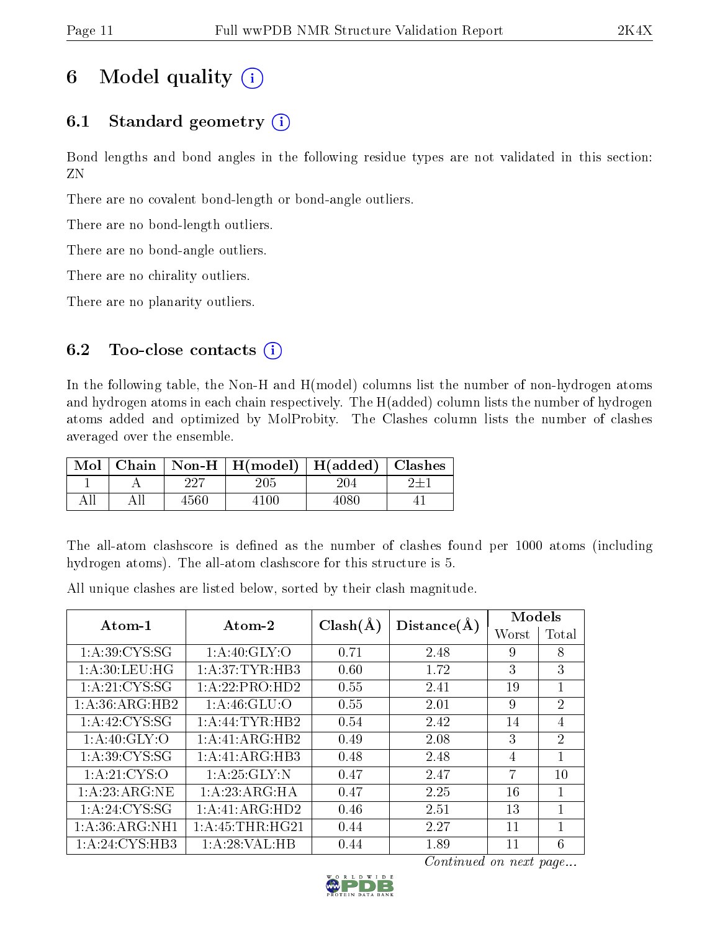# 6 Model quality  $(i)$

# 6.1 Standard geometry  $(i)$

Bond lengths and bond angles in the following residue types are not validated in this section: ZN

There are no covalent bond-length or bond-angle outliers.

There are no bond-length outliers.

There are no bond-angle outliers.

There are no chirality outliers.

There are no planarity outliers.

## 6.2 Too-close contacts  $(i)$

In the following table, the Non-H and H(model) columns list the number of non-hydrogen atoms and hydrogen atoms in each chain respectively. The H(added) column lists the number of hydrogen atoms added and optimized by MolProbity. The Clashes column lists the number of clashes averaged over the ensemble.

| Mol |      | Chain   Non-H   H(model)   H(added)   Clashes |      |  |
|-----|------|-----------------------------------------------|------|--|
|     | 227  | 205                                           | 204  |  |
|     | 4560 | 4100                                          | 4080 |  |

The all-atom clashscore is defined as the number of clashes found per 1000 atoms (including hydrogen atoms). The all-atom clashscore for this structure is 5.

All unique clashes are listed below, sorted by their clash magnitude.

| Atom-1             | Atom-2           | $Clash(\AA)$ | Distance(A) | Models |                |
|--------------------|------------------|--------------|-------------|--------|----------------|
|                    |                  |              |             | Worst  | 'Total         |
| 1: A:39: CYS:SG    | 1: A:40: GLY:O   | 0.71         | 2.48        | 9      | 8              |
| 1: A:30:LEU:HG     | 1: A:37:TYR:HB3  | 0.60         | 1.72        | 3      | 3              |
| 1: A:21:CYS:SG     | 1:A:22:PRO:HD2   | 0.55         | 2.41        | 19     | 1              |
| 1: A: 36: ARG: HB2 | 1: A:46: GLU:O   | 0.55         | 2.01        | 9      | $\overline{2}$ |
| 1: A:42: CYS:SG    | 1:A:44:TYR:HB2   | 0.54         | 2.42        | 14     | $\overline{4}$ |
| 1: A:40: GLY:O     | 1:A:41:ARG:HB2   | 0.49         | 2.08        | 3      | $\overline{2}$ |
| 1: A:39: CYS:SG    | 1:A:41:ARG:HB3   | 0.48         | 2.48        | 4      | 1              |
| 1: A:21: CYS:O     | 1:A:25:GLY:N     | 0.47         | 2.47        | 7      | 10             |
| 1:A:23:ARG:NE      | 1:A:23:ARG:HA    | 0.47         | 2.25        | 16     | 1              |
| 1: A:24:CYS:SG     | 1:A:41:ARG:HD2   | 0.46         | 2.51        | 13     | 1              |
| 1:A:36:ARG:NH1     | 1: A:45:THR:HG21 | 0.44         | 2.27        | 11     | 1              |
| 1:A:24:CYS:HB3     | 1:A:28:VAL:HB    | 0.44         | 1.89        | 11     | 6              |

Continued on next page...

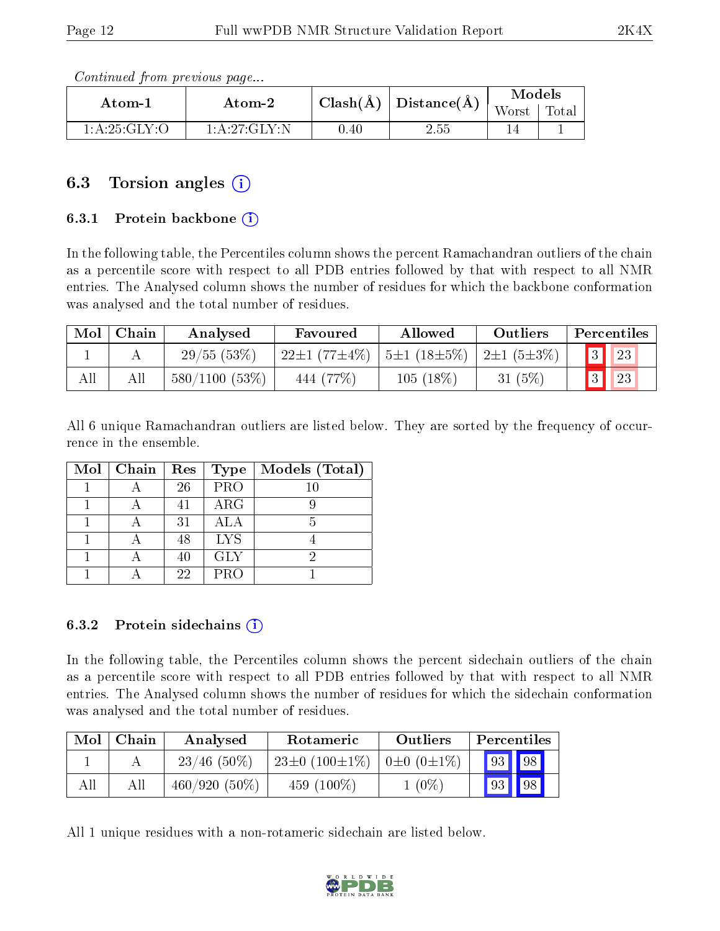Continued from previous page...

| Atom-1       | $\boldsymbol{\mathrm{Atom}\text{-}2}$ |          | $\pm$ Clash(Å) $\pm$ Distance(Å) $\pm$ | Models |       |
|--------------|---------------------------------------|----------|----------------------------------------|--------|-------|
|              |                                       |          |                                        | Worst  | Total |
| 1:A:25:GLY:O | 1: A:27: GLY:N                        | $0.40\,$ | $2.55\,$                               |        |       |

# 6.3 Torsion angles (i)

### 6.3.1 Protein backbone (i)

In the following table, the Percentiles column shows the percent Ramachandran outliers of the chain as a percentile score with respect to all PDB entries followed by that with respect to all NMR entries. The Analysed column shows the number of residues for which the backbone conformation was analysed and the total number of residues.

| Mol | ∣ Chain | Analysed            | Favoured                                                                   | Allowed     | Outliers  | Percentiles  |
|-----|---------|---------------------|----------------------------------------------------------------------------|-------------|-----------|--------------|
|     |         | 29/55(53%)          | $22\pm1$ (77 $\pm4\%$ )   5 $\pm1$ (18 $\pm5\%$ )   2 $\pm1$ (5 $\pm3\%$ ) |             |           | $\boxed{23}$ |
| All |         | $580/1100$ $(53\%)$ | $-444(77\%)$                                                               | $105(18\%)$ | 31 $(5%)$ | $\mid$ 23    |

All 6 unique Ramachandran outliers are listed below. They are sorted by the frequency of occurrence in the ensemble.

| Mol   Chain | $\operatorname{Res}% \left( \mathcal{N}\right) \equiv\operatorname{Res}(\mathcal{N}_{0})\cap\mathcal{N}_{1}$ | Type       | Models (Total) |
|-------------|--------------------------------------------------------------------------------------------------------------|------------|----------------|
|             | 26                                                                                                           | PRO        | 10             |
|             | 41                                                                                                           | $\rm{ARG}$ |                |
|             | 31                                                                                                           | ALA        |                |
|             | 48                                                                                                           | <b>LYS</b> |                |
|             | 40                                                                                                           | <b>GLY</b> |                |
|             | 22                                                                                                           | <b>PRO</b> |                |

#### 6.3.2 Protein sidechains  $(i)$

In the following table, the Percentiles column shows the percent sidechain outliers of the chain as a percentile score with respect to all PDB entries followed by that with respect to all NMR entries. The Analysed column shows the number of residues for which the sidechain conformation was analysed and the total number of residues.

| Mol | Chain | Analysed        | Rotameric                                         | Outliers | Percentiles |             |  |
|-----|-------|-----------------|---------------------------------------------------|----------|-------------|-------------|--|
|     |       | $23/46$ (50%)   | $23\pm0$ (100 $\pm1\%$ )   0 $\pm0$ (0 $\pm1\%$ ) |          | 93          | $\vert$ 98  |  |
| All |       | $460/920(50\%)$ | 459 $(100\%)$                                     | $1(0\%)$ | 93          | $\sqrt{98}$ |  |

All 1 unique residues with a non-rotameric sidechain are listed below.

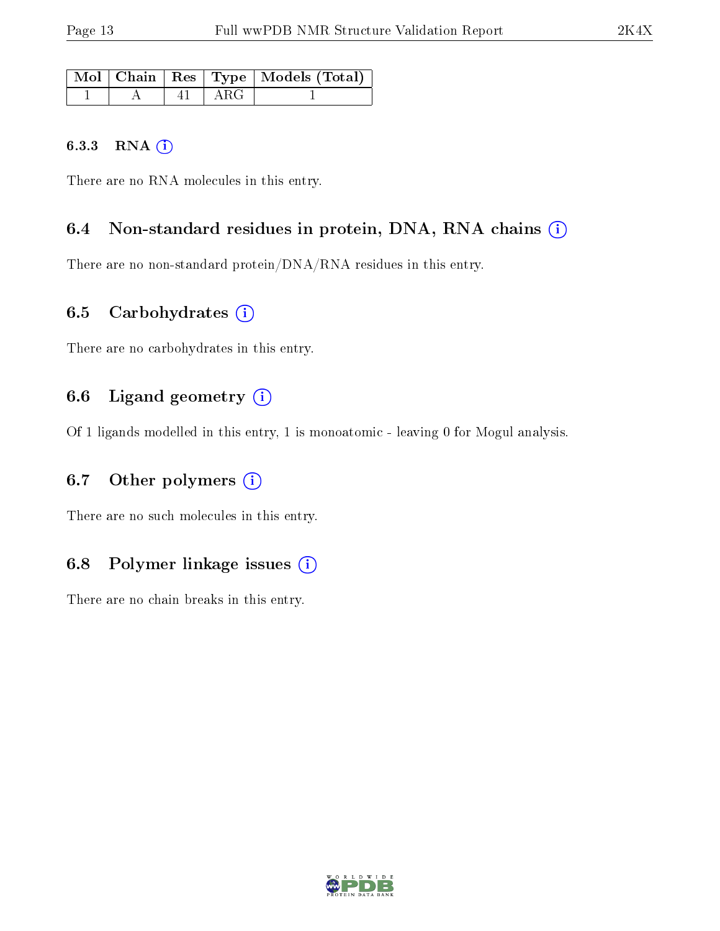|  |           | Mol   Chain   Res   Type   Models (Total) |
|--|-----------|-------------------------------------------|
|  | $+41+ARG$ |                                           |

#### 6.3.3 RNA [O](https://www.wwpdb.org/validation/2017/NMRValidationReportHelp#rna)i

There are no RNA molecules in this entry.

## 6.4 Non-standard residues in protein, DNA, RNA chains (i)

There are no non-standard protein/DNA/RNA residues in this entry.

## 6.5 Carbohydrates  $(i)$

There are no carbohydrates in this entry.

## 6.6 Ligand geometry  $(i)$

Of 1 ligands modelled in this entry, 1 is monoatomic - leaving 0 for Mogul analysis.

## 6.7 [O](https://www.wwpdb.org/validation/2017/NMRValidationReportHelp#nonstandard_residues_and_ligands)ther polymers  $(i)$

There are no such molecules in this entry.

# 6.8 Polymer linkage issues  $(i)$

There are no chain breaks in this entry.

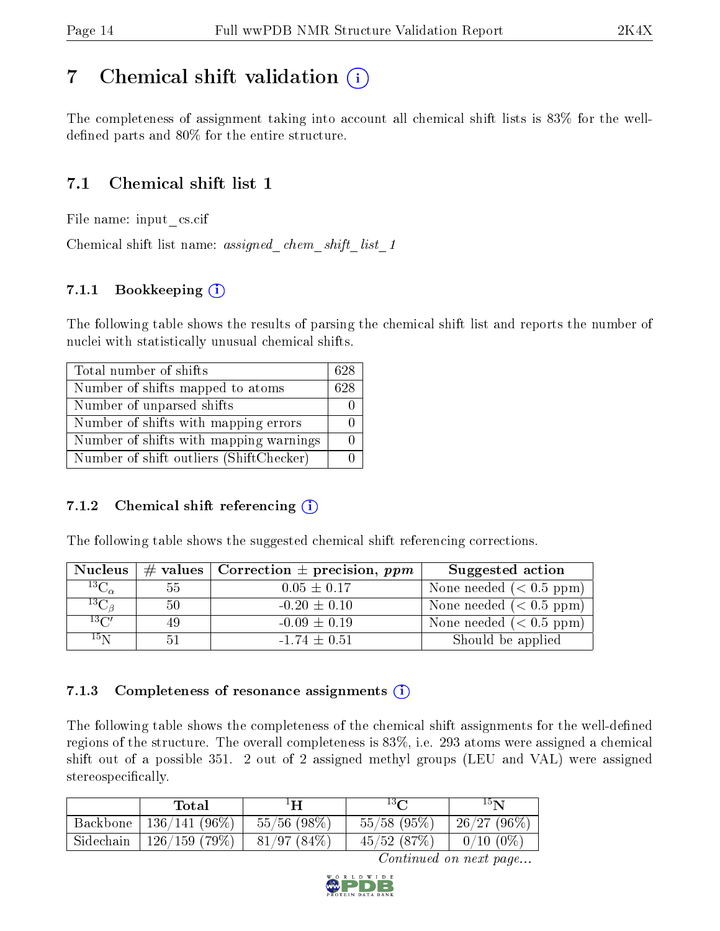# <span id="page-13-0"></span>7 Chemical shift validation  $\left( \begin{array}{c} \overline{1} \end{array} \right)$

The completeness of assignment taking into account all chemical shift lists is 83% for the welldefined parts and  $80\%$  for the entire structure.

# 7.1 Chemical shift list 1

File name: input\_cs.cif

Chemical shift list name: *assigned\_chem\_shift\_list\_1* 

## 7.1.1 Bookkeeping (i)

The following table shows the results of parsing the chemical shift list and reports the number of nuclei with statistically unusual chemical shifts.

| Total number of shifts                  | 628 |
|-----------------------------------------|-----|
| Number of shifts mapped to atoms        | 628 |
| Number of unparsed shifts               |     |
| Number of shifts with mapping errors    |     |
| Number of shifts with mapping warnings  |     |
| Number of shift outliers (ShiftChecker) |     |

## 7.1.2 Chemical shift referencing  $(i)$

The following table shows the suggested chemical shift referencing corrections.

| <b>Nucleus</b>      |     | # values   Correction $\pm$ precision, ppm | Suggested action           |
|---------------------|-----|--------------------------------------------|----------------------------|
| ${}^{13}C_{\alpha}$ | 55. | $0.05 \pm 0.17$                            | None needed $(0.5 ppm)$    |
| ${}^{13}C_{\beta}$  | 50  | $-0.20 \pm 0.10$                           | None needed ( $< 0.5$ ppm) |
| $13\text{C}$        | 49  | $-0.09 \pm 0.19$                           | None needed $(< 0.5$ ppm)  |
| $15\,\mathrm{N}$    |     | $-1.74 \pm 0.51$                           | Should be applied          |

## 7.1.3 Completeness of resonance assignments  $(i)$

The following table shows the completeness of the chemical shift assignments for the well-defined regions of the structure. The overall completeness is 83%, i.e. 293 atoms were assigned a chemical shift out of a possible 351. 2 out of 2 assigned methyl groups (LEU and VAL) were assigned stereospecifically.

|           | Total           | $^1\mathbf{H}$ | $13\,$ $\sim$ | $15\mathbf{N}$ |
|-----------|-----------------|----------------|---------------|----------------|
| Backbone  | $136/141(96\%)$ | $55/56$ (98\%) | $55/58$ (95%) | 26/27(96%)     |
| Sidechain | 126/159(79%)    | 81/97(84%)     | 45/52(87%)    | $0/10(0\%)$    |

Continued on next page...